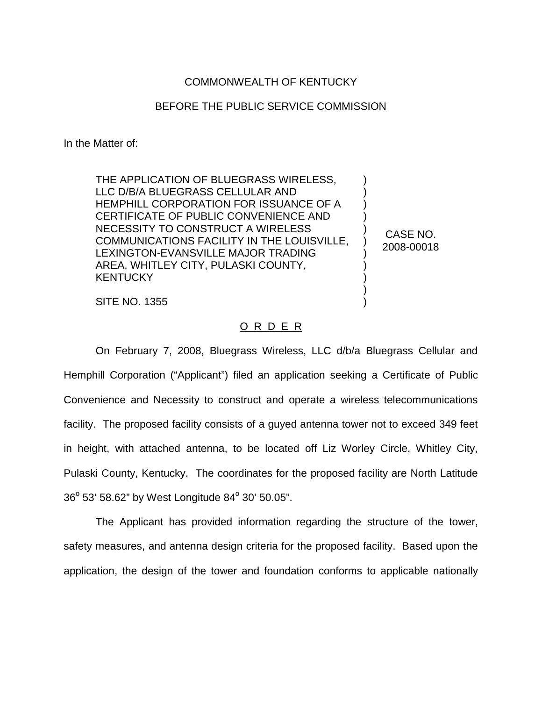## COMMONWEALTH OF KENTUCKY

## BEFORE THE PUBLIC SERVICE COMMISSION

In the Matter of:

THE APPLICATION OF BLUEGRASS WIRELESS, LLC D/B/A BLUEGRASS CELLULAR AND HEMPHILL CORPORATION FOR ISSUANCE OF A CERTIFICATE OF PUBLIC CONVENIENCE AND NECESSITY TO CONSTRUCT A WIRELESS COMMUNICATIONS FACILITY IN THE LOUISVILLE, LEXINGTON-EVANSVILLE MAJOR TRADING AREA, WHITLEY CITY, PULASKI COUNTY, **KENTUCKY** 

CASE NO. 2008-00018

) ) ) ) ) ) ) ) ) ) )

SITE NO. 1355

## O R D E R

On February 7, 2008, Bluegrass Wireless, LLC d/b/a Bluegrass Cellular and Hemphill Corporation ("Applicant") filed an application seeking a Certificate of Public Convenience and Necessity to construct and operate a wireless telecommunications facility. The proposed facility consists of a guyed antenna tower not to exceed 349 feet in height, with attached antenna, to be located off Liz Worley Circle, Whitley City, Pulaski County, Kentucky. The coordinates for the proposed facility are North Latitude  $36^{\circ}$  53' 58.62" by West Longitude 84 $^{\circ}$  30' 50.05".

The Applicant has provided information regarding the structure of the tower, safety measures, and antenna design criteria for the proposed facility. Based upon the application, the design of the tower and foundation conforms to applicable nationally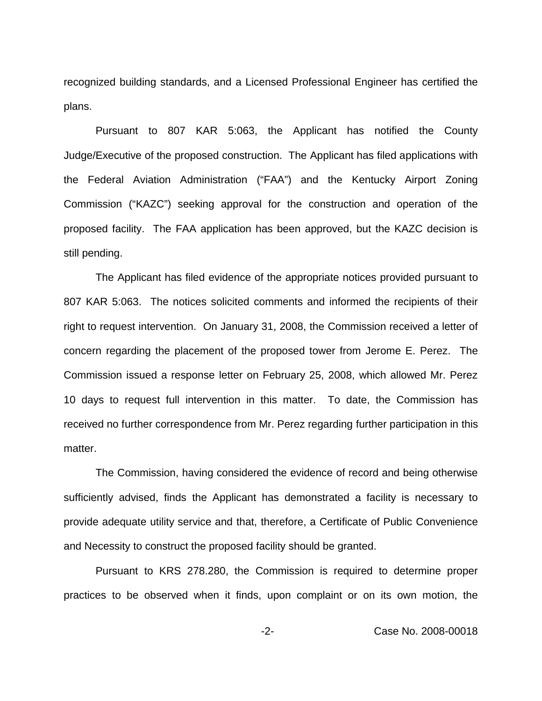recognized building standards, and a Licensed Professional Engineer has certified the plans.

Pursuant to 807 KAR 5:063, the Applicant has notified the County Judge/Executive of the proposed construction. The Applicant has filed applications with the Federal Aviation Administration ("FAA") and the Kentucky Airport Zoning Commission ("KAZC") seeking approval for the construction and operation of the proposed facility. The FAA application has been approved, but the KAZC decision is still pending.

The Applicant has filed evidence of the appropriate notices provided pursuant to 807 KAR 5:063. The notices solicited comments and informed the recipients of their right to request intervention. On January 31, 2008, the Commission received a letter of concern regarding the placement of the proposed tower from Jerome E. Perez. The Commission issued a response letter on February 25, 2008, which allowed Mr. Perez 10 days to request full intervention in this matter. To date, the Commission has received no further correspondence from Mr. Perez regarding further participation in this matter.

The Commission, having considered the evidence of record and being otherwise sufficiently advised, finds the Applicant has demonstrated a facility is necessary to provide adequate utility service and that, therefore, a Certificate of Public Convenience and Necessity to construct the proposed facility should be granted.

Pursuant to KRS 278.280, the Commission is required to determine proper practices to be observed when it finds, upon complaint or on its own motion, the

-2- Case No. 2008-00018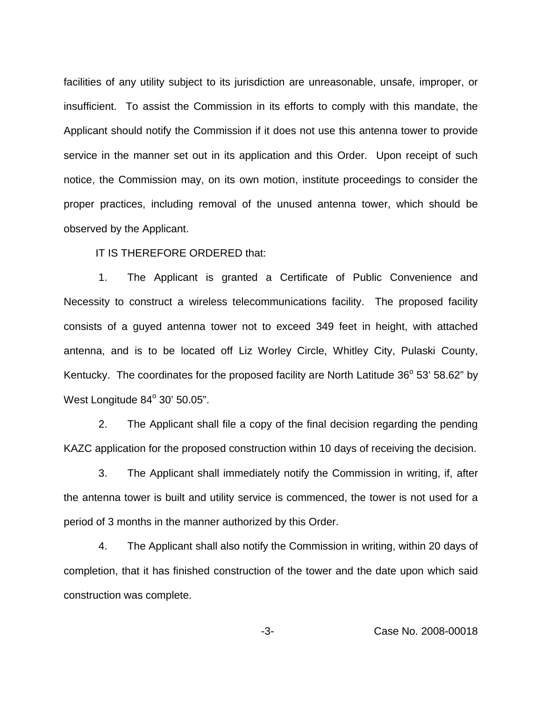facilities of any utility subject to its jurisdiction are unreasonable, unsafe, improper, or insufficient. To assist the Commission in its efforts to comply with this mandate, the Applicant should notify the Commission if it does not use this antenna tower to provide service in the manner set out in its application and this Order. Upon receipt of such notice, the Commission may, on its own motion, institute proceedings to consider the proper practices, including removal of the unused antenna tower, which should be observed by the Applicant.

IT IS THEREFORE ORDERED that:

1. The Applicant is granted a Certificate of Public Convenience and Necessity to construct a wireless telecommunications facility. The proposed facility consists of a guyed antenna tower not to exceed 349 feet in height, with attached antenna, and is to be located off Liz Worley Circle, Whitley City, Pulaski County, Kentucky. The coordinates for the proposed facility are North Latitude  $36^{\circ}$  53' 58.62" by West Longitude  $84^\circ$  30' 50.05".

2. The Applicant shall file a copy of the final decision regarding the pending KAZC application for the proposed construction within 10 days of receiving the decision.

3. The Applicant shall immediately notify the Commission in writing, if, after the antenna tower is built and utility service is commenced, the tower is not used for a period of 3 months in the manner authorized by this Order.

4. The Applicant shall also notify the Commission in writing, within 20 days of completion, that it has finished construction of the tower and the date upon which said construction was complete.

-3- Case No. 2008-00018